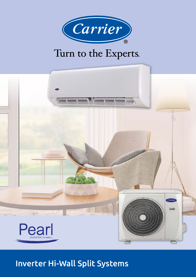

# Turn to the Experts.



## Inverter Hi-Wall Split Systems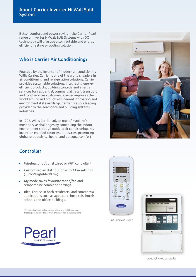#### About Carrier Inverter Hi Wall Split System

Better comfort and power saving – the Carrier Pearl range of inverter Hi-Wall Split Systems with DC technology will give you a comfortable and energy efficient heating or cooling solution.

#### Who is Carrier Air Conditioning?

Founded by the inventor of modern air conditioning Willis Carrier, Carrier is one of the world's leaders in air conditioning and refrigeration solutions. Carrier provides sustainable solutions, integrating energy efficient products, building controls and energy services for residential, commercial, retail, transport and food services customers. Carrier improves the world around us through engineered innovation and environmental stewardship. Carrier is also a leading provider to the aerospace and building systems industries.

In 1902, Willis Carrier solved one of mankind's most elusive challenges by controlling the indoor environment through modern air conditioning. His invention enabled countless industries, promoting global productivity, health and personal comfort.



#### Controller

- Wireless or optional wired or WiFi controller\*
- Customised air distribution with 4 fan settings (Turbo/High/Med/Low).
- My mode saves favourite mode/fan and temperature combined settings.
- Ideal for use in both residential and commercial applications such as aged care, hospitals, hotels, schools and office buildings.

 \*Wired and WiFi controller options will be at an additional cost. Please speak to your dealer if you are interested in these options.



Included controller



Optional wired controller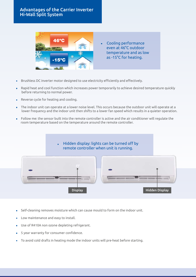#### Advantages of the Carrier Inverter Hi-Wall Split System



- Brushless DC inverter motor designed to use electricity efficiently and effectively.
- Rapid heat and cool function which increases power temporarily to achieve desired temperature quickly before returning to normal power.
- Reverse cycle for heating and cooling.
- The indoor unit can operate at a lower noise level. This occurs because the outdoor unit will operate at a lower frequency and the indoor unit then shifts to a lower fan speed which results in a quieter operation.
- Follow me: the sensor built into the remote controller is active and the air conditioner will regulate the room temperature based on the temperature around the remote controller.

 Hidden display: lights can be turned off by remote controller when unit is running.



- Self-cleaning removes moisture which can cause mould to form on the indoor unit.
- **Low maintenance and easy to install.**
- Use of R410A non ozone depleting refrigerant.
- 5 year warranty for consumer confidence.
- To avoid cold drafts in heating mode the indoor units will pre-heat before starting.